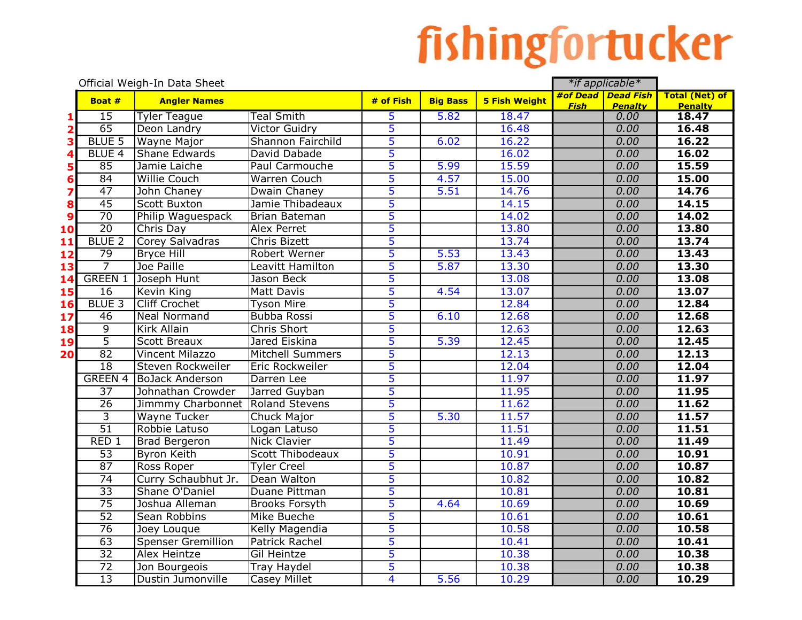## fishingfortucker

|                         | Official Weigh-In Data Sheet |                                  |                         |                         |                   |                      | *if applicable* |                                 |                                         |
|-------------------------|------------------------------|----------------------------------|-------------------------|-------------------------|-------------------|----------------------|-----------------|---------------------------------|-----------------------------------------|
|                         | Boat #                       | <b>Angler Names</b>              |                         | # of Fish               | <b>Big Bass</b>   | <b>5 Fish Weight</b> | <b>Fish</b>     | #of Dead   Dead Fish<br>Penalty | <b>Total (Net) of</b><br><b>Penalty</b> |
| 1                       | $\overline{15}$              | <b>Tyler Teague</b>              | <b>Teal Smith</b>       | 5                       | 5.82              | 18.47                |                 | 0.00                            | 18.47                                   |
| $\overline{\mathbf{2}}$ | 65                           | Deon Landry                      | <b>Victor Guidry</b>    | $\overline{5}$          |                   | 16.48                |                 | 0.00                            | 16.48                                   |
| 3                       | <b>BLUE 5</b>                | <b>Wayne Major</b>               | Shannon Fairchild       | $\overline{5}$          | 6.02              | 16.22                |                 | 0.00                            | 16.22                                   |
|                         | <b>BLUE 4</b>                | <b>Shane Edwards</b>             | David Dabade            | $\overline{5}$          |                   | 16.02                |                 | 0.00                            | 16.02                                   |
| 5                       | 85                           | Jamie Laiche                     | Paul Carmouche          | 5                       | $\overline{5.99}$ | 15.59                |                 | 0.00                            | 15.59                                   |
| 6                       | $\overline{84}$              | <b>Willie Couch</b>              | Warren Couch            | $\overline{5}$          | 4.57              | 15.00                |                 | 0.00                            | 15.00                                   |
| 7                       | 47                           | John Chaney                      | Dwain Chaney            | $\overline{5}$          | 5.51              | 14.76                |                 | 0.00                            | 14.76                                   |
| 8                       | 45                           | <b>Scott Buxton</b>              | Jamie Thibadeaux        | $\overline{\mathbf{5}}$ |                   | 14.15                |                 | 0.00                            | 14.15                                   |
| $\boldsymbol{9}$        | $\overline{70}$              | Philip Waguespack                | <b>Brian Bateman</b>    | $\overline{5}$          |                   | 14.02                |                 | 0.00                            | 14.02                                   |
| 10                      | $\overline{20}$              | Chris Day                        | <b>Alex Perret</b>      | $\overline{5}$          |                   | 13.80                |                 | 0.00                            | 13.80                                   |
| 11                      | <b>BLUE 2</b>                | Corey Salvadras                  | <b>Chris Bizett</b>     | $\overline{5}$          |                   | 13.74                |                 | 0.00                            | 13.74                                   |
| 12                      | $\overline{79}$              | <b>Bryce Hill</b>                | <b>Robert Werner</b>    | $\overline{5}$          | 5.53              | 13.43                |                 | 0.00                            | 13.43                                   |
| 13                      | $\overline{7}$               | Joe Paille                       | Leavitt Hamilton        | $\overline{5}$          | 5.87              | 13.30                |                 | 0.00                            | 13.30                                   |
| 14                      | <b>GREEN 1</b>               | Joseph Hunt                      | Jason Beck              | 5                       |                   | 13.08                |                 | 0.00                            | 13.08                                   |
| 15                      | $\overline{16}$              | <b>Kevin King</b>                | <b>Matt Davis</b>       | $\overline{5}$          | 4.54              | 13.07                |                 | 0.00                            | 13.07                                   |
| 16                      | <b>BLUE 3</b>                | <b>Cliff Crochet</b>             | <b>Tyson Mire</b>       | $\overline{\mathbf{5}}$ |                   | 12.84                |                 | 0.00                            | 12.84                                   |
| 17                      | 46                           | <b>Neal Normand</b>              | <b>Bubba Rossi</b>      | $\overline{5}$          | 6.10              | 12.68                |                 | 0.00                            | 12.68                                   |
| 18                      | $\overline{9}$               | <b>Kirk Allain</b>               | <b>Chris Short</b>      | $\overline{5}$          |                   | 12.63                |                 | 0.00                            | 12.63                                   |
| 19                      | $\overline{5}$               | <b>Scott Breaux</b>              | Jared Eiskina           | $\overline{5}$          | 5.39              | 12.45                |                 | 0.00                            | 12.45                                   |
| 20                      | $\overline{82}$              | <b>Vincent Milazzo</b>           | <b>Mitchell Summers</b> | $\overline{5}$          |                   | 12.13                |                 | 0.00                            | 12.13                                   |
|                         | $\overline{18}$              | Steven Rockweiler                | Eric Rockweiler         | $\overline{5}$          |                   | 12.04                |                 | 0.00                            | 12.04                                   |
|                         | <b>GREEN 4</b>               | <b>BoJack Anderson</b>           | Darren Lee              | $\overline{5}$          |                   | 11.97                |                 | 0.00                            | 11.97                                   |
|                         | $\overline{37}$              | Johnathan Crowder                | Jarred Guyban           | $\overline{5}$          |                   | 11.95                |                 | 0.00                            | 11.95                                   |
|                         | $\overline{26}$              | Jimmmy Charbonnet Roland Stevens |                         | $\overline{5}$          |                   | 11.62                |                 | 0.00                            | 11.62                                   |
|                         | $\overline{3}$               | <b>Wayne Tucker</b>              | <b>Chuck Major</b>      | $\overline{5}$          | 5.30              | 11.57                |                 | 0.00                            | 11.57                                   |
|                         | $\overline{51}$              | Robbie Latuso                    | Logan Latuso            | 5                       |                   | 11.51                |                 | 0.00                            | 11.51                                   |
|                         | RED1                         | <b>Brad Bergeron</b>             | <b>Nick Clavier</b>     | $\overline{5}$          |                   | 11.49                |                 | 0.00                            | 11.49                                   |
|                         | $\overline{53}$              | <b>Byron Keith</b>               | Scott Thibodeaux        | 5                       |                   | 10.91                |                 | 0.00                            | 10.91                                   |
|                         | $\overline{87}$              | Ross Roper                       | <b>Tyler Creel</b>      | 5                       |                   | 10.87                |                 | 0.00                            | 10.87                                   |
|                         | 74                           | Curry Schaubhut Jr.              | Dean Walton             | 5                       |                   | 10.82                |                 | 0.00                            | 10.82                                   |
|                         | $\overline{33}$              | Shane O'Daniel                   | Duane Pittman           | $\overline{5}$          |                   | 10.81                |                 | 0.00                            | 10.81                                   |
|                         | $\overline{75}$              | Joshua Alleman                   | <b>Brooks Forsyth</b>   | $\overline{5}$          | 4.64              | 10.69                |                 | 0.00                            | 10.69                                   |
|                         | $\overline{52}$              | Sean Robbins                     | Mike Bueche             | 5                       |                   | 10.61                |                 | 0.00                            | 10.61                                   |
|                         | $\overline{76}$              | Joey Louque                      | <b>Kelly Magendia</b>   | 5                       |                   | 10.58                |                 | 0.00                            | 10.58                                   |
|                         | $\overline{63}$              | <b>Spenser Gremillion</b>        | <b>Patrick Rachel</b>   | $\overline{5}$          |                   | 10.41                |                 | 0.00                            | 10.41                                   |
|                         | $\overline{32}$              | <b>Alex Heintze</b>              | Gil Heintze             | $\overline{5}$          |                   | 10.38                |                 | 0.00                            | 10.38                                   |
|                         | $\overline{72}$              | Jon Bourgeois                    | <b>Tray Haydel</b>      | 5                       |                   | 10.38                |                 | 0.00                            | 10.38                                   |
|                         | $\overline{13}$              | Dustin Jumonville                | <b>Casey Millet</b>     | $\overline{4}$          | 5.56              | 10.29                |                 | 0.00                            | 10.29                                   |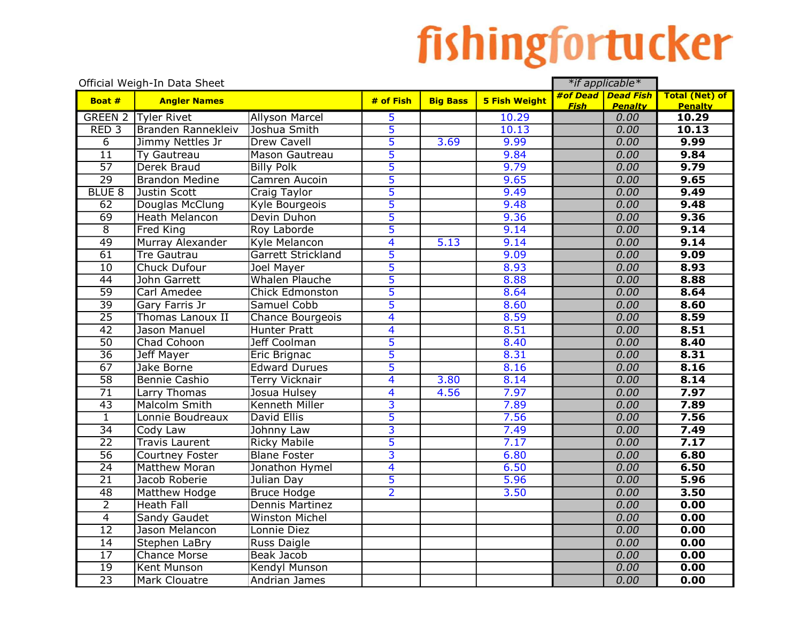## fishingfortucker

| Official Weigh-In Data Sheet |                         |                           |                         |                 |                      |             | *if applicable*        |                         |
|------------------------------|-------------------------|---------------------------|-------------------------|-----------------|----------------------|-------------|------------------------|-------------------------|
| Boat #                       | <b>Angler Names</b>     |                           | # of Fish               | <b>Big Bass</b> | <b>5 Fish Weight</b> |             | #of Dead Dead Fish     | <b>Total (Net) of</b>   |
| <b>GREEN 2</b>               | <b>Tyler Rivet</b>      | <b>Allyson Marcel</b>     | 5                       |                 | 10.29                | <b>Fish</b> | <b>Penalty</b><br>0.00 | <b>Penalty</b><br>10.29 |
| RED <sub>3</sub>             | Branden Rannekleiv      | Joshua Smith              | $\overline{5}$          |                 | 10.13                |             | 0.00                   | 10.13                   |
| $\overline{6}$               | Jimmy Nettles Jr        | <b>Drew Cavell</b>        | $\overline{5}$          | 3.69            | 9.99                 |             | 0.00                   | 9.99                    |
| $\overline{11}$              | <b>Ty Gautreau</b>      | Mason Gautreau            | 5                       |                 | 9.84                 |             | 0.00                   | 9.84                    |
| $\overline{57}$              | Derek Braud             | <b>Billy Polk</b>         | 5                       |                 | 9.79                 |             | 0.00                   | 9.79                    |
| $\overline{29}$              | <b>Brandon Medine</b>   | Camren Aucoin             | 5                       |                 | 9.65                 |             | 0.00                   | 9.65                    |
| <b>BLUE 8</b>                | Justin Scott            | Craig Taylor              | 5                       |                 | 9.49                 |             | 0.00                   | 9.49                    |
| 62                           | Douglas McClung         | Kyle Bourgeois            | $\overline{5}$          |                 | 9.48                 |             | 0.00                   | 9.48                    |
| $\overline{69}$              | <b>Heath Melancon</b>   | Devin Duhon               | 5                       |                 | 9.36                 |             | 0.00                   | 9.36                    |
| $\overline{8}$               | <b>Fred King</b>        | Roy Laborde               | 5                       |                 | 9.14                 |             | 0.00                   | 9.14                    |
| 49                           | Murray Alexander        | Kyle Melancon             | 4                       | 5.13            | 9.14                 |             | 0.00                   | 9.14                    |
| $\overline{61}$              | <b>Tre Gautrau</b>      | <b>Garrett Strickland</b> | 5                       |                 | 9.09                 |             | 0.00                   | 9.09                    |
| $\overline{10}$              | Chuck Dufour            | Joel Mayer                | $\overline{5}$          |                 | 8.93                 |             | 0.00                   | 8.93                    |
| $\overline{44}$              | John Garrett            | <b>Whalen Plauche</b>     | 5                       |                 | 8.88                 |             | 0.00                   | 8.88                    |
| $\overline{59}$              | Carl Amedee             | <b>Chick Edmonston</b>    | 5                       |                 | 8.64                 |             | 0.00                   | 8.64                    |
| $\overline{39}$              | Gary Farris Jr          | Samuel Cobb               | 5                       |                 | 8.60                 |             | 0.00                   | 8.60                    |
| $\overline{25}$              | <b>Thomas Lanoux II</b> | Chance Bourgeois          | $\overline{\mathbf{4}}$ |                 | 8.59                 |             | 0.00                   | 8.59                    |
| 42                           | Jason Manuel            | Hunter Pratt              | $\overline{\mathbf{4}}$ |                 | 8.51                 |             | 0.00                   | 8.51                    |
| $\overline{50}$              | Chad Cohoon             | Jeff Coolman              | 5                       |                 | 8.40                 |             | 0.00                   | 8.40                    |
| $\overline{36}$              | Jeff Mayer              | Eric Brignac              | $\overline{5}$          |                 | 8.31                 |             | 0.00                   | 8.31                    |
| 67                           | Jake Borne              | <b>Edward Durues</b>      | 5                       |                 | 8.16                 |             | 0.00                   | 8.16                    |
| $\overline{58}$              | Bennie Cashio           | Terry Vicknair            | 4                       | 3.80            | 8.14                 |             | 0.00                   | 8.14                    |
| $\overline{71}$              | Larry Thomas            | Josua Hulsey              | 4                       | 4.56            | 7.97                 |             | 0.00                   | 7.97                    |
| $\overline{43}$              | Malcolm Smith           | <b>Kenneth Miller</b>     | 3                       |                 | 7.89                 |             | 0.00                   | 7.89                    |
| $\overline{1}$               | Lonnie Boudreaux        | David Ellis               | 5                       |                 | 7.56                 |             | 0.00                   | 7.56                    |
| $\overline{34}$              | Cody Law                | Johnny Law                | $\overline{\mathsf{3}}$ |                 | 7.49                 |             | 0.00                   | 7.49                    |
| $\overline{22}$              | <b>Travis Laurent</b>   | <b>Ricky Mabile</b>       | 5                       |                 | 7.17                 |             | 0.00                   | 7.17                    |
| $\overline{56}$              | <b>Courtney Foster</b>  | <b>Blane Foster</b>       | $\overline{\mathbf{3}}$ |                 | 6.80                 |             | 0.00                   | 6.80                    |
| $\overline{24}$              | <b>Matthew Moran</b>    | Jonathon Hymel            | $\overline{\mathbf{4}}$ |                 | 6.50                 |             | 0.00                   | 6.50                    |
| $\overline{21}$              | Jacob Roberie           | Julian Day                | 5                       |                 | 5.96                 |             | 0.00                   | 5.96                    |
| $\overline{48}$              | Matthew Hodge           | <b>Bruce Hodge</b>        | $\overline{2}$          |                 | 3.50                 |             | 0.00                   | 3.50                    |
| $\overline{2}$               | <b>Heath Fall</b>       | Dennis Martinez           |                         |                 |                      |             | 0.00                   | 0.00                    |
| $\overline{4}$               | Sandy Gaudet            | <b>Winston Michel</b>     |                         |                 |                      |             | 0.00                   | 0.00                    |
| $\overline{12}$              | Jason Melancon          | Lonnie Diez               |                         |                 |                      |             | 0.00                   | 0.00                    |
| 14                           | Stephen LaBry           | Russ Daigle               |                         |                 |                      |             | 0.00                   | 0.00                    |
| $\overline{17}$              | Chance Morse            | Beak Jacob                |                         |                 |                      |             | 0.00                   | 0.00                    |
| $\overline{19}$              | Kent Munson             | <b>Kendyl Munson</b>      |                         |                 |                      |             | 0.00                   | 0.00                    |
| $\overline{23}$              | <b>Mark Clouatre</b>    | Andrian James             |                         |                 |                      |             | 0.00                   | 0.00                    |